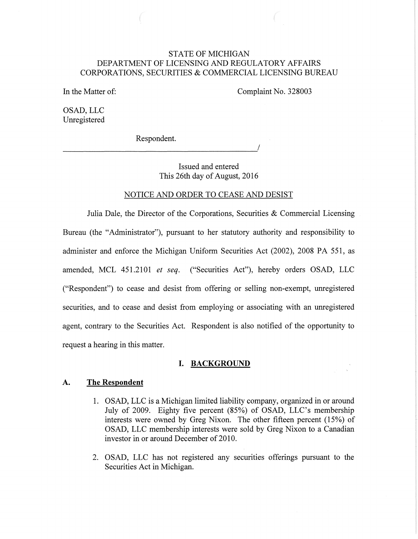# STATE OF MICHIGAN DEPARTMENT OF LICENSING AND REGULATORY AFFAIRS CORPORATIONS, SECURITIES & COMMERCIAL LICENSING BUREAU

In the Matter of:

Complaint No. 328003

OSAD, LLC Unregistered

Respondent.

----------------------------------------~/

Issued and entered This 26th day of August, 2016

#### NOTICE AND ORDER TO CEASE AND DESIST

Julia Dale, the Director of the Corporations, Securities & Commercial Licensing Bureau (the "Administrator"), pursuant to her statutory authority and responsibility to administer and enforce the Michigan Uniform Securities Act (2002), 2008 PA 551, as amended, MCL 451.2101 *et seq.* ("Securities Act"), hereby orders OSAD, LLC ("Respondent") to cease and desist from offering or selling non-exempt, unregistered securities, and to cease and desist from employing or associating with an unregistered agent, contrary to the Securities Act. Respondent is also notified of the opportunity to request a hearing in this matter.

## **I. BACKGROUND**

### A. **The Respondent**

- 1. OSAD, LLC is a Michigan limited liability company, organized in or around July of 2009. Eighty five percent (85%) of OSAD, LLC's membership interests were owned by Greg Nixon. The other fifteen percent (15%) of OSAD, LLC membership interests were sold by Greg Nixon to a Canadian investor in or around December of 2010.
- 2. OSAD, LLC has not registered any securities offerings pursuant to the Securities Act in Michigan.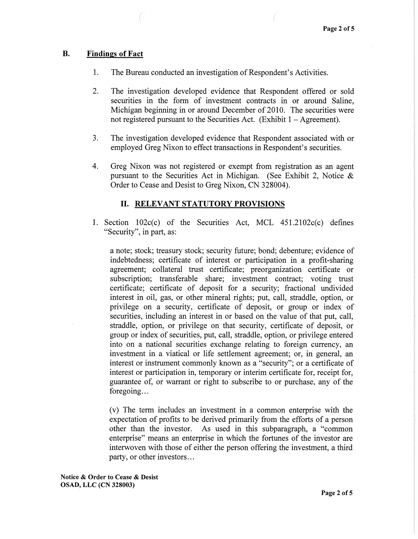## B. Findings of Fact

- 1. The Bureau conducted an investigation of Respondent's Activities.
- 2. The investigation developed evidence that Respondent offered or sold securities in the form of investment contracts in or around Saline, Michigan beginning in or around December of 2010. The securities were not registered pursuant to the Securities Act. (Exhibit  $1 -$  Agreement).
- 3. The investigation developed evidence that Respondent associated with or employed Greg Nixon to effect transactions in Respondent's securities.
- 4. Greg Nixon was not registered or exempt from registration as an agent pursuant to the Securities Act in Michigan. (See Exhibit 2, Notice  $\&$ Order to Cease and Desist to Greg Nixon, CN 328004).

# II. RELEVANT STATUTORY PROVISIONS

1. Section  $102c(c)$  of the Securities Act, MCL  $451.2102c(c)$  defines "Security", in part, as:

a note; stock; treasury stock; security future; bond; debenture; evidence of indebtedness; certificate of interest or participation in a profit-sharing agreement; collateral trust certificate; preorganization certificate or subscription; transferable share; investment contract; voting trust certificate; certificate of deposit for a security; fractional undivided interest in oil, gas, or other mineral rights; put, call, straddle, option, or privilege on a security, certificate of deposit, or group or index of securities, including an interest in or based on the value of that put, call, straddle, option, or privilege on that security, certificate of deposit, or group or index of securities, put, call, straddle, option, or privilege entered into on a national securities exchange relating to foreign currency, an investment in a viatical or life settlement agreement; or, in general, an interest or instrument commonly known as a "security"; or a certificate of interest or participation in, temporary or interim certificate for, receipt for, guarantee of, or warrant or right to subscribe to or purchase, any of the foregoing...

(v) The term includes an investment in a common enterprise with the expectation of profits to be derived primarily from the efforts of a person other than the investor. As used in this subparagraph, a "common enterprise" means an enterprise in which the fortunes of the investor are interwoven with those of either the person offering the investment, a third party, or other investors ...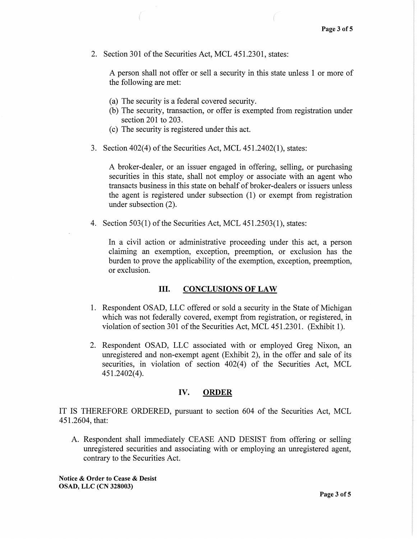2. Section 301 of the Securities Act, MCL 451.2301, states:

A person shall not offer or sell a security in this state unless 1 or more of the following are met:

- (a) The security is a federal covered security.
- (b) The security, transaction, or offer is exempted from registration under section 201 to 203.
- (c) The security is registered under this act.
- 3. Section  $402(4)$  of the Securities Act, MCL  $451.2402(1)$ , states:

A broker-dealer, or an issuer engaged in offering, selling, or purchasing securities in this state, shall not employ or associate with an agent who transacts business in this state on behalf of broker-dealers or issuers unless the agent is registered under subsection (1) or exempt from registration under subsection (2).

4. Section 503(1) of the Securities Act, MCL 451.2503(1), states:

In a civil action or administrative proceeding under this act, a person claiming an exemption, exception, preemption, or exclusion has the burden to prove the applicability of the exemption, exception, preemption, or exclusion.

# III. CONCLUSIONS OF LAW

- 1. Respondent OSAD, LLC offered or sold a security in the State of Michigan which was not federally covered, exempt from registration, or registered, in violation of section 301 of the Securities Act, MCL 451.2301. (Exhibit 1).
- 2. Respondent OSAD, LLC associated with or employed Greg Nixon, an unregistered and non-exempt agent (Exhibit 2), in the offer and sale of its securities, in violation of section 402(4) of the Securities Act, MCL 451.2402(4).

### IV. ORDER

IT IS THEREFORE ORDERED, pursuant to section 604 of the Securities Act, MCL 451.2604, that:

A. Respondent shall immediately CEASE AND DESIST from offering or selling unregistered securities and associating with or employing an unregistered agent, contrary to the Securities Act.

Notice & Order to Cease & Desist OSAD, LLC (CN 328003)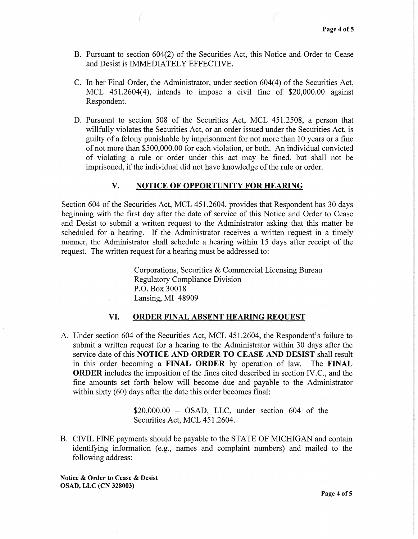- B. Pursuant to section 604(2) of the Securities Act, this Notice and Order to Cease and Desist is IMMEDIATELY EFFECTIVE.
- C. In her Final Order, the Administrator, under section 604(4) of the Securities Act, MCL  $451.2604(4)$ , intends to impose a civil fine of \$20,000.00 against Respondent.
- D. Pursuant to section 508 of the Securities Act, MCL 451.2508, a person that willfully violates the Securities Act, or an order issued under the Securities Act, is guilty of a felony punishable by imprisonment for not more than 10 years or a fine of not more than \$500,000.00 for each violation, or both. An individual convicted of violating a rule or order under this act may be fined, but shall not be imprisoned, if the individual did not have knowledge of the rule or order.

### V. NOTICE OF OPPORTUNITY FOR HEARING

Section 604 of the Securities Act, MCL 451.2604, provides that Respondent has 30 days beginning with the first day after the date of service of this Notice and Order to Cease and Desist to submit a written request to the Administrator asking that this matter be scheduled for a hearing. If the Administrator receives a written request in a timely manner, the Administrator shall schedule a hearing within 15 days after receipt of the request. The written request for a hearing must be addressed to:

> Corporations, Securities & Commercial Licensing Bureau Regulatory Compliance Division P.O. Box 30018 Lansing, MI 48909

#### VI. ORDER FINAL ABSENT HEARING REQUEST

A. Under section 604 of the Securities Act, MCL 451.2604, the Respondent's failure to submit a written request for a hearing to the Administrator within 30 days after the service date of this NOTICE AND ORDER TO CEASE AND DESIST shall result in this order becoming a FINAL ORDER by operation of law. The FINAL ORDER includes the imposition of the fines cited described in section IV.C., and the fine amounts set forth below will become due and payable to the Administrator within sixty (60) days after the date this order becomes final:

> $$20,000.00 - OSAD, LLC, under section 604 of the$ Securities Act, MCL 451.2604.

B. CIVIL FINE payments should be payable to the STATE OF MICHIGAN and contain identifying information (e.g., names and complaint numbers) and mailed to the following address:

Notice & Order to Cease & Desist OSAD, LLC (CN 328003)